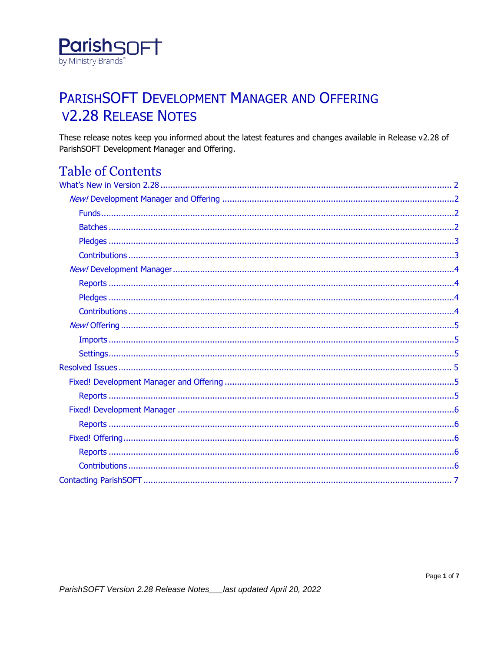

## PARISHSOFT DEVELOPMENT MANAGER AND OFFERING **V2.28 RELEASE NOTES**

These release notes keep you informed about the latest features and changes available in Release v2.28 of ParishSOFT Development Manager and Offering.

## **Table of Contents**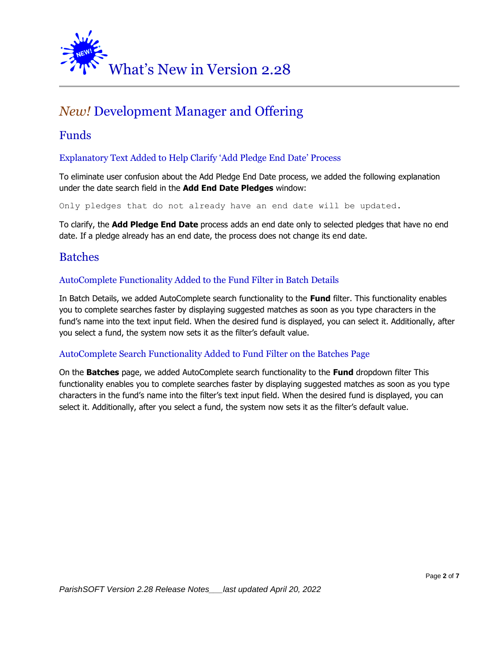<span id="page-1-0"></span>

## <span id="page-1-1"></span>*New!* Development Manager and Offering

## <span id="page-1-2"></span>Funds

#### Explanatory Text Added to Help Clarify 'Add Pledge End Date' Process

To eliminate user confusion about the Add Pledge End Date process, we added the following explanation under the date search field in the **Add End Date Pledges** window:

Only pledges that do not already have an end date will be updated.

To clarify, the **Add Pledge End Date** process adds an end date only to selected pledges that have no end date. If a pledge already has an end date, the process does not change its end date.

## <span id="page-1-3"></span>Batches

#### AutoComplete Functionality Added to the Fund Filter in Batch Details

In Batch Details, we added AutoComplete search functionality to the **Fund** filter. This functionality enables you to complete searches faster by displaying suggested matches as soon as you type characters in the fund's name into the text input field. When the desired fund is displayed, you can select it. Additionally, after you select a fund, the system now sets it as the filter's default value.

#### AutoComplete Search Functionality Added to Fund Filter on the Batches Page

On the **Batches** page, we added AutoComplete search functionality to the **Fund** dropdown filter This functionality enables you to complete searches faster by displaying suggested matches as soon as you type characters in the fund's name into the filter's text input field. When the desired fund is displayed, you can select it. Additionally, after you select a fund, the system now sets it as the filter's default value.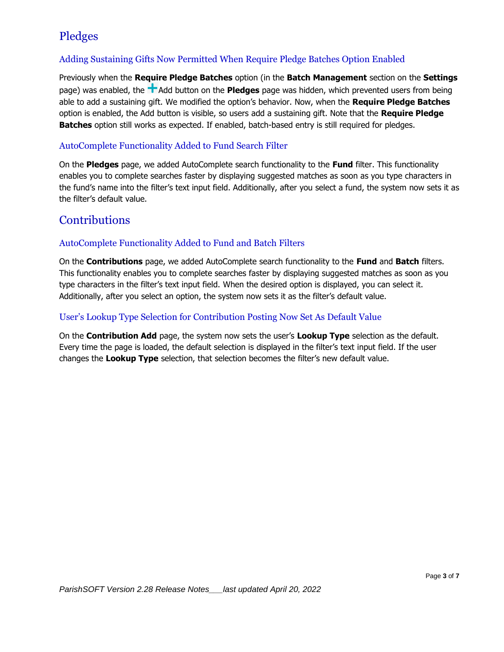## <span id="page-2-0"></span>Pledges

### Adding Sustaining Gifts Now Permitted When Require Pledge Batches Option Enabled

Previously when the **Require Pledge Batches** option (in the **Batch Management** section on the **Settings** page) was enabled, the **A**dd button on the **Pledges** page was hidden, which prevented users from being able to add a sustaining gift. We modified the option's behavior. Now, when the **Require Pledge Batches** option is enabled, the Add button is visible, so users add a sustaining gift. Note that the **Require Pledge Batches** option still works as expected. If enabled, batch-based entry is still required for pledges.

#### AutoComplete Functionality Added to Fund Search Filter

On the **Pledges** page, we added AutoComplete search functionality to the **Fund** filter. This functionality enables you to complete searches faster by displaying suggested matches as soon as you type characters in the fund's name into the filter's text input field. Additionally, after you select a fund, the system now sets it as the filter's default value.

### <span id="page-2-1"></span>**Contributions**

#### AutoComplete Functionality Added to Fund and Batch Filters

On the **Contributions** page, we added AutoComplete search functionality to the **Fund** and **Batch** filters. This functionality enables you to complete searches faster by displaying suggested matches as soon as you type characters in the filter's text input field. When the desired option is displayed, you can select it. Additionally, after you select an option, the system now sets it as the filter's default value.

#### User's Lookup Type Selection for Contribution Posting Now Set As Default Value

On the **Contribution Add** page, the system now sets the user's **Lookup Type** selection as the default. Every time the page is loaded, the default selection is displayed in the filter's text input field. If the user changes the **Lookup Type** selection, that selection becomes the filter's new default value.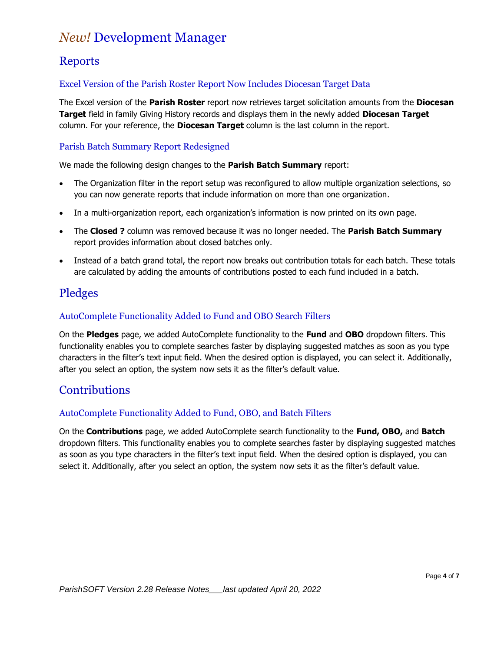## <span id="page-3-0"></span>*New!* Development Manager

## <span id="page-3-1"></span>**Reports**

### Excel Version of the Parish Roster Report Now Includes Diocesan Target Data

The Excel version of the **Parish Roster** report now retrieves target solicitation amounts from the **Diocesan Target** field in family Giving History records and displays them in the newly added **Diocesan Target** column. For your reference, the **Diocesan Target** column is the last column in the report.

### Parish Batch Summary Report Redesigned

We made the following design changes to the **Parish Batch Summary** report:

- The Organization filter in the report setup was reconfigured to allow multiple organization selections, so you can now generate reports that include information on more than one organization.
- In a multi-organization report, each organization's information is now printed on its own page.
- The **Closed ?** column was removed because it was no longer needed. The **Parish Batch Summary** report provides information about closed batches only.
- Instead of a batch grand total, the report now breaks out contribution totals for each batch. These totals are calculated by adding the amounts of contributions posted to each fund included in a batch.

## <span id="page-3-2"></span>Pledges

### AutoComplete Functionality Added to Fund and OBO Search Filters

On the **Pledges** page, we added AutoComplete functionality to the **Fund** and **OBO** dropdown filters. This functionality enables you to complete searches faster by displaying suggested matches as soon as you type characters in the filter's text input field. When the desired option is displayed, you can select it. Additionally, after you select an option, the system now sets it as the filter's default value.

## <span id="page-3-3"></span>**Contributions**

### AutoComplete Functionality Added to Fund, OBO, and Batch Filters

On the **Contributions** page, we added AutoComplete search functionality to the **Fund, OBO,** and **Batch** dropdown filters. This functionality enables you to complete searches faster by displaying suggested matches as soon as you type characters in the filter's text input field. When the desired option is displayed, you can select it. Additionally, after you select an option, the system now sets it as the filter's default value.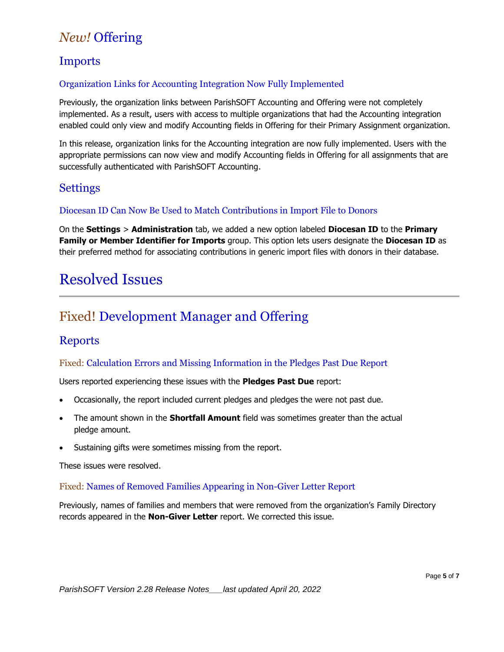## <span id="page-4-0"></span>*New!* Offering

## <span id="page-4-1"></span>Imports

### Organization Links for Accounting Integration Now Fully Implemented

Previously, the organization links between ParishSOFT Accounting and Offering were not completely implemented. As a result, users with access to multiple organizations that had the Accounting integration enabled could only view and modify Accounting fields in Offering for their Primary Assignment organization.

In this release, organization links for the Accounting integration are now fully implemented. Users with the appropriate permissions can now view and modify Accounting fields in Offering for all assignments that are successfully authenticated with ParishSOFT Accounting.

### <span id="page-4-2"></span>**Settings**

#### Diocesan ID Can Now Be Used to Match Contributions in Import File to Donors

On the **Settings** > **Administration** tab, we added a new option labeled **Diocesan ID** to the **Primary Family or Member Identifier for Imports** group. This option lets users designate the **Diocesan ID** as their preferred method for associating contributions in generic import files with donors in their database.

## <span id="page-4-3"></span>Resolved Issues

## <span id="page-4-4"></span>Fixed! Development Manager and Offering

## <span id="page-4-5"></span>Reports

#### Fixed: Calculation Errors and Missing Information in the Pledges Past Due Report

Users reported experiencing these issues with the **Pledges Past Due** report:

- Occasionally, the report included current pledges and pledges the were not past due.
- The amount shown in the **Shortfall Amount** field was sometimes greater than the actual pledge amount.
- Sustaining gifts were sometimes missing from the report.

These issues were resolved.

#### Fixed: Names of Removed Families Appearing in Non-Giver Letter Report

Previously, names of families and members that were removed from the organization's Family Directory records appeared in the **Non-Giver Letter** report. We corrected this issue.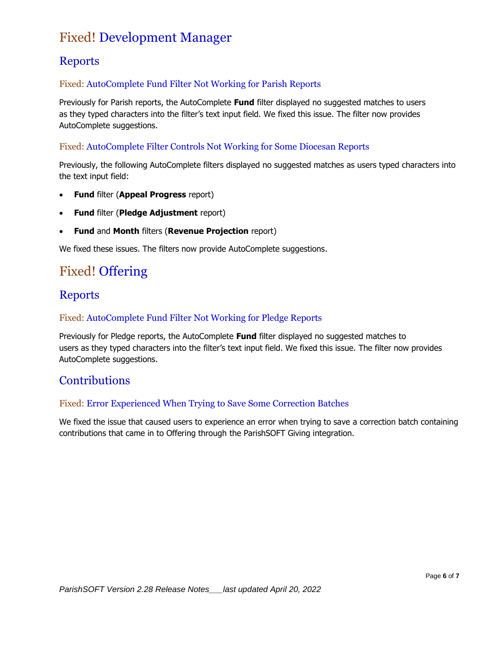## <span id="page-5-0"></span>Fixed! Development Manager

## <span id="page-5-1"></span>**Reports**

### Fixed: AutoComplete Fund Filter Not Working for Parish Reports

Previously for Parish reports, the AutoComplete **Fund** filter displayed no suggested matches to users as they typed characters into the filter's text input field. We fixed this issue. The filter now provides AutoComplete suggestions.

#### Fixed: AutoComplete Filter Controls Not Working for Some Diocesan Reports

Previously, the following AutoComplete filters displayed no suggested matches as users typed characters into the text input field:

- **Fund** filter (**Appeal Progress** report)
- **Fund** filter (**Pledge Adjustment** report)
- **Fund** and **Month** filters (**Revenue Projection** report)

We fixed these issues. The filters now provide AutoComplete suggestions.

## <span id="page-5-2"></span>Fixed! Offering

## <span id="page-5-3"></span>Reports

#### Fixed: AutoComplete Fund Filter Not Working for Pledge Reports

Previously for Pledge reports, the AutoComplete **Fund** filter displayed no suggested matches to users as they typed characters into the filter's text input field. We fixed this issue. The filter now provides AutoComplete suggestions.

## <span id="page-5-4"></span>**Contributions**

#### Fixed: Error Experienced When Trying to Save Some Correction Batches

We fixed the issue that caused users to experience an error when trying to save a correction batch containing contributions that came in to Offering through the ParishSOFT Giving integration.